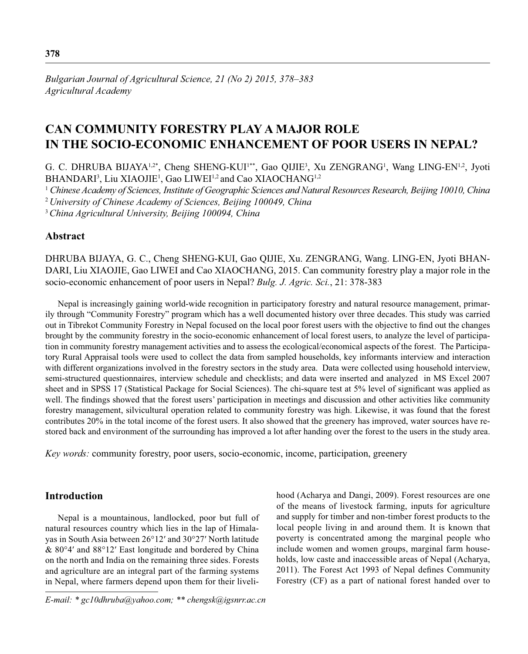# **CAN COMMUNITY FORESTRY PLAY A MAJOR ROLE IN THE SOCIO-ECONOMIC ENHANCEMENT OF POOR USERS IN NEPAL?**

G. C. DHRUBA BIJAYA<sup>1,2\*</sup>, Cheng SHENG-KUI<sup>1\*\*</sup>, Gao QIJIE<sup>3</sup>, Xu ZENGRANG<sup>1</sup>, Wang LING-EN<sup>1,2</sup>, Jyoti BHANDARI<sup>3</sup>, Liu XIAOJIE<sup>1</sup>, Gao LIWEI<sup>1,2</sup> and Cao XIAOCHANG<sup>1,2</sup>

<sup>1</sup> *Chinese Academy of Sciences, Institute of Geographic Sciences and Natural Resources Research, Beijing 10010, China* <sup>2</sup>*University of Chinese Academy of Sciences, Beijing 100049, China*

<sup>3</sup>*China Agricultural University, Beijing 100094, China*

# **Abstract**

DHRUBA BIJAYA, G. C., Cheng SHENG-KUI, Gao QIJIE, Xu. ZENGRANG, Wang. LING-EN, Jyoti BHAN-DARI, Liu XIAOJIE, Gao LIWEI and Cao XIAOCHANG, 2015. Can community forestry play a major role in the socio-economic enhancement of poor users in Nepal? *Bulg. J. Agric. Sci.*, 21: 378-383

Nepal is increasingly gaining world-wide recognition in participatory forestry and natural resource management, primarily through "Community Forestry" program which has a well documented history over three decades. This study was carried out in Tibrekot Community Forestry in Nepal focused on the local poor forest users with the objective to find out the changes brought by the community forestry in the socio-economic enhancement of local forest users, to analyze the level of participation in community forestry management activities and to assess the ecological/economical aspects of the forest. The Participatory Rural Appraisal tools were used to collect the data from sampled households, key informants interview and interaction with different organizations involved in the forestry sectors in the study area. Data were collected using household interview, semi-structured questionnaires, interview schedule and checklists; and data were inserted and analyzed in MS Excel 2007 sheet and in SPSS 17 (Statistical Package for Social Sciences). The chi-square test at 5% level of significant was applied as well. The findings showed that the forest users' participation in meetings and discussion and other activities like community forestry management, silvicultural operation related to community forestry was high. Likewise, it was found that the forest contributes 20% in the total income of the forest users. It also showed that the greenery has improved, water sources have restored back and environment of the surrounding has improved a lot after handing over the forest to the users in the study area.

*Key words:* community forestry, poor users, socio-economic, income, participation, greenery

# **Introduction**

Nepal is a mountainous, landlocked, poor but full of natural resources country which lies in the lap of Himalayas in South Asia between 26°12′ and 30°27′ North latitude & 80°4′ and 88°12′ East longitude and bordered by China on the north and India on the remaining three sides. Forests and agriculture are an integral part of the farming systems in Nepal, where farmers depend upon them for their livelihood (Acharya and Dangi, 2009). Forest resources are one of the means of livestock farming, inputs for agriculture and supply for timber and non-timber forest products to the local people living in and around them. It is known that poverty is concentrated among the marginal people who include women and women groups, marginal farm households, low caste and inaccessible areas of Nepal (Acharya, 2011). The Forest Act 1993 of Nepal defines Community Forestry (CF) as a part of national forest handed over to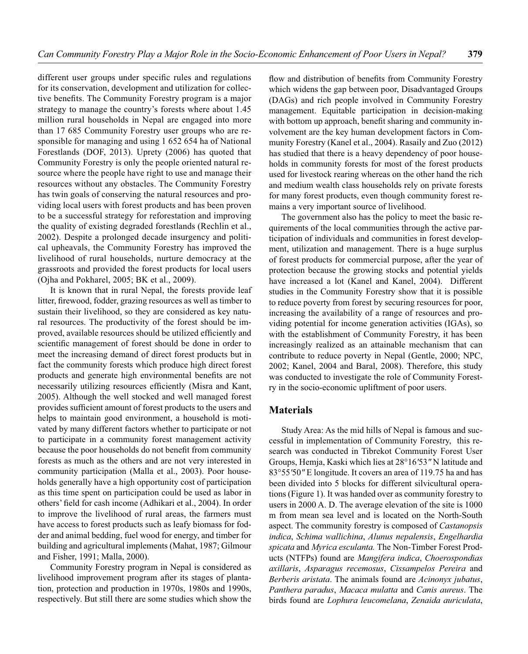different user groups under specific rules and regulations for its conservation, development and utilization for collective benefits. The Community Forestry program is a major strategy to manage the country's forests where about 1.45 million rural households in Nepal are engaged into more than 17 685 Community Forestry user groups who are responsible for managing and using 1 652 654 ha of National Forestlands (DOF, 2013). Uprety (2006) has quoted that Community Forestry is only the people oriented natural resource where the people have right to use and manage their resources without any obstacles. The Community Forestry has twin goals of conserving the natural resources and providing local users with forest products and has been proven to be a successful strategy for reforestation and improving the quality of existing degraded forestlands (Rechlin et al., 2002). Despite a prolonged decade insurgency and political upheavals, the Community Forestry has improved the livelihood of rural households, nurture democracy at the grassroots and provided the forest products for local users (Ojha and Pokharel, 2005; BK et al., 2009).

It is known that in rural Nepal, the forests provide leaf litter, firewood, fodder, grazing resources as well as timber to sustain their livelihood, so they are considered as key natural resources. The productivity of the forest should be improved, available resources should be utilized efficiently and scientific management of forest should be done in order to meet the increasing demand of direct forest products but in fact the community forests which produce high direct forest products and generate high environmental benefits are not necessarily utilizing resources efficiently (Misra and Kant, 2005). Although the well stocked and well managed forest provides sufficient amount of forest products to the users and helps to maintain good environment, a household is motivated by many different factors whether to participate or not to participate in a community forest management activity because the poor households do not benefit from community forests as much as the others and are not very interested in community participation (Malla et al., 2003). Poor households generally have a high opportunity cost of participation as this time spent on participation could be used as labor in others' field for cash income (Adhikari et al., 2004). In order to improve the livelihood of rural areas, the farmers must have access to forest products such as leafy biomass for fodder and animal bedding, fuel wood for energy, and timber for building and agricultural implements (Mahat, 1987; Gilmour and Fisher, 1991; Malla, 2000).

Community Forestry program in Nepal is considered as livelihood improvement program after its stages of plantation, protection and production in 1970s, 1980s and 1990s, respectively. But still there are some studies which show the

flow and distribution of benefits from Community Forestry which widens the gap between poor, Disadvantaged Groups (DAGs) and rich people involved in Community Forestry management. Equitable participation in decision-making with bottom up approach, benefit sharing and community involvement are the key human development factors in Community Forestry (Kanel et al., 2004). Rasaily and Zuo (2012) has studied that there is a heavy dependency of poor households in community forests for most of the forest products used for livestock rearing whereas on the other hand the rich and medium wealth class households rely on private forests for many forest products, even though community forest remains a very important source of livelihood.

The government also has the policy to meet the basic requirements of the local communities through the active participation of individuals and communities in forest development, utilization and management. There is a huge surplus of forest products for commercial purpose, after the year of protection because the growing stocks and potential yields have increased a lot (Kanel and Kanel, 2004). Different studies in the Community Forestry show that it is possible to reduce poverty from forest by securing resources for poor, increasing the availability of a range of resources and providing potential for income generation activities (IGAs), so with the establishment of Community Forestry, it has been increasingly realized as an attainable mechanism that can contribute to reduce poverty in Nepal (Gentle, 2000; NPC, 2002; Kanel, 2004 and Baral, 2008). Therefore, this study was conducted to investigate the role of Community Forestry in the socio-economic upliftment of poor users.

# **Materials**

Study Area: As the mid hills of Nepal is famous and successful in implementation of Community Forestry, this research was conducted in Tibrekot Community Forest User Groups, Hemja, Kaski which lies at 28°16*′*53*″* N latitude and 83°55*′*50*″* E longitude. It covers an area of 119.75 ha and has been divided into 5 blocks for different silvicultural operations (Figure 1). It was handed over as community forestry to users in 2000 A. D. The average elevation of the site is 1000 m from mean sea level and is located on the North-South aspect. The community forestry is composed of *Castanopsis indica*, *Schima wallichina*, *Alunus nepalensis*, *Engelhardia spicata* and *Myrica esculanta.* The Non-Timber Forest Products (NTFPs) found are *Mangifera indica*, *Choerospondias axillaris*, *Asparagus recemosus*, *Cissampelos Pereira* and *Berberis aristata*. The animals found are *Acinonyx jubatus*, *Panthera paradus*, *Macaca mulatta* and *Canis aureus*. The birds found are *Lophura leucomelana*, *Zenaida auriculata*,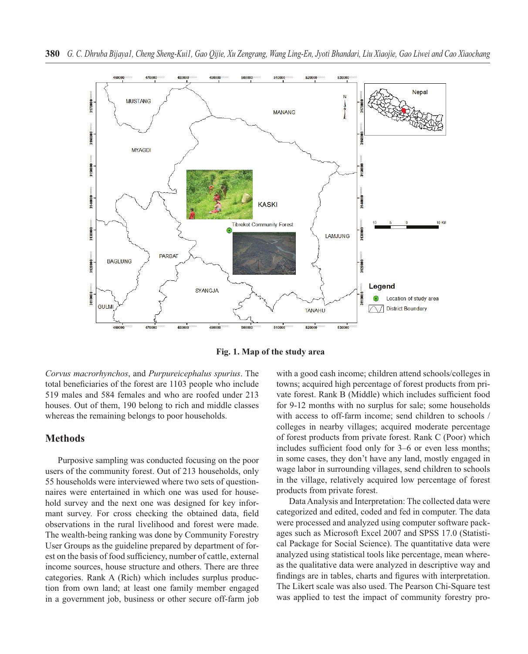

**Fig. 1. Map of the study area**

*Corvus macrorhynchos*, and *Purpureicephalus spurius*. The total beneficiaries of the forest are 1103 people who include 519 males and 584 females and who are roofed under 213 houses. Out of them, 190 belong to rich and middle classes whereas the remaining belongs to poor households.

# **Methods**

Purposive sampling was conducted focusing on the poor users of the community forest. Out of 213 households, only 55 households were interviewed where two sets of questionnaires were entertained in which one was used for household survey and the next one was designed for key informant survey. For cross checking the obtained data, field observations in the rural livelihood and forest were made. The wealth-being ranking was done by Community Forestry User Groups as the guideline prepared by department of forest on the basis of food sufficiency, number of cattle, external income sources, house structure and others. There are three categories. Rank A (Rich) which includes surplus production from own land; at least one family member engaged in a government job, business or other secure off-farm job

with a good cash income; children attend schools/colleges in towns; acquired high percentage of forest products from private forest. Rank B (Middle) which includes sufficient food for 9-12 months with no surplus for sale; some households with access to off-farm income; send children to schools / colleges in nearby villages; acquired moderate percentage of forest products from private forest. Rank C (Poor) which includes sufficient food only for  $3-6$  or even less months; in some cases, they don't have any land, mostly engaged in wage labor in surrounding villages, send children to schools in the village, relatively acquired low percentage of forest products from private forest.

Data Analysis and Interpretation: The collected data were categorized and edited, coded and fed in computer. The data were processed and analyzed using computer software packages such as Microsoft Excel 2007 and SPSS 17.0 (Statistical Package for Social Science). The quantitative data were analyzed using statistical tools like percentage, mean whereas the qualitative data were analyzed in descriptive way and findings are in tables, charts and figures with interpretation. The Likert scale was also used. The Pearson Chi-Square test was applied to test the impact of community forestry pro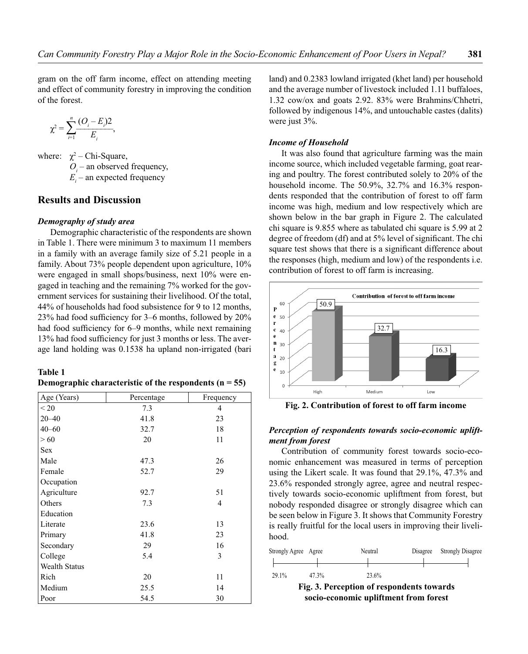gram on the off farm income, effect on attending meeting and effect of community forestry in improving the condition of the forest.

$$
\chi^2 = \sum_{i=1}^n \frac{(O_i - E_i)2}{E_i},
$$

where:  $\chi^2$  – Chi-Square,  $O_i$  – an observed frequency,  $E_i$  – an expected frequency

# **Results and Discussion**

### *Demography of study area*

Demographic characteristic of the respondents are shown in Table 1. There were minimum 3 to maximum 11 members in a family with an average family size of 5.21 people in a family. About 73% people dependent upon agriculture. 10% were engaged in small shops/business, next 10% were engaged in teaching and the remaining 7% worked for the government services for sustaining their livelihood. Of the total, 44% of households had food subsistence for 9 to 12 months,  $23\%$  had food sufficiency for 3–6 months, followed by  $20\%$ had food sufficiency for 6–9 months, while next remaining 13% had food sufficiency for just 3 months or less. The average land holding was 0.1538 ha upland non-irrigated (bari

#### **Table 1**

|  | Demographic characteristic of the respondents ( $n = 55$ ) |  |  |  |
|--|------------------------------------------------------------|--|--|--|
|--|------------------------------------------------------------|--|--|--|

| Age (Years)   | Percentage | Frequency |
|---------------|------------|-----------|
| < 20          | 7.3        | 4         |
| $20 - 40$     | 41.8       | 23        |
| $40 - 60$     | 32.7       | 18        |
| > 60          | 20         | 11        |
| Sex           |            |           |
| Male          | 47.3       | 26        |
| Female        | 52.7       | 29        |
| Occupation    |            |           |
| Agriculture   | 92.7       | 51        |
| Others        | 7.3        | 4         |
| Education     |            |           |
| Literate      | 23.6       | 13        |
| Primary       | 41.8       | 23        |
| Secondary     | 29         | 16        |
| College       | 5.4        | 3         |
| Wealth Status |            |           |
| Rich          | 20         | 11        |
| Medium        | 25.5       | 14        |
| Poor          | 54.5       | 30        |

land) and 0.2383 lowland irrigated (khet land) per household and the average number of livestock included 1.11 buffaloes, 1.32 cow/ox and goats 2.92. 83% were Brahmins/Chhetri, followed by indigenous 14%, and untouchable castes (dalits) were just 3%.

#### *Income of Household*

It was also found that agriculture farming was the main income source, which included vegetable farming, goat rearing and poultry. The forest contributed solely to 20% of the household income. The 50.9%, 32.7% and 16.3% respondents responded that the contribution of forest to off farm income was high, medium and low respectively which are shown below in the bar graph in Figure 2. The calculated chi square is 9.855 where as tabulated chi square is 5.99 at 2 degree of freedom (df) and at  $5\%$  level of significant. The chi square test shows that there is a significant difference about the responses (high, medium and low) of the respondents i.e. contribution of forest to off farm is increasing.



**Fig. 2. Contribution of forest to off farm income**

### *Perception of respondents towards socio-economic upliftment from forest*

Contribution of community forest towards socio-economic enhancement was measured in terms of perception using the Likert scale. It was found that 29.1%, 47.3% and 23.6% responded strongly agree, agree and neutral respectively towards socio-economic upliftment from forest, but nobody responded disagree or strongly disagree which can be seen below in Figure 3. It shows that Community Forestry is really fruitful for the local users in improving their livelihood.



**Fig. 3. Perception of respondents towards socio-economic upliftment from forest**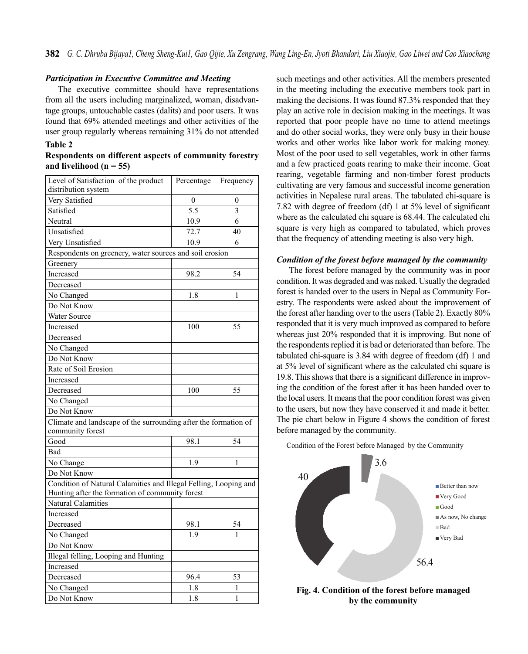#### *Participation in Executive Committee and Meeting*

The executive committee should have representations from all the users including marginalized, woman, disadvantage groups, untouchable castes (dalits) and poor users. It was found that 69% attended meetings and other activities of the user group regularly whereas remaining 31% do not attended

### **Table 2**

**Respondents on different aspects of community forestry and livelihood (n = 55)**

| Level of Satisfaction of the product<br>distribution system                                                         | Percentage | Frequency |  |  |  |
|---------------------------------------------------------------------------------------------------------------------|------------|-----------|--|--|--|
| Very Satisfied                                                                                                      | $\theta$   | 0         |  |  |  |
| Satisfied                                                                                                           | 5.5        | 3         |  |  |  |
| Neutral                                                                                                             | 10.9       | 6         |  |  |  |
| Unsatisfied                                                                                                         | 72.7       | 40        |  |  |  |
|                                                                                                                     |            | 6         |  |  |  |
| Very Unsatisfied<br>10.9<br>Respondents on greenery, water sources and soil erosion                                 |            |           |  |  |  |
| Greenery                                                                                                            |            |           |  |  |  |
| Increased                                                                                                           | 98.2       | 54        |  |  |  |
|                                                                                                                     |            |           |  |  |  |
| Decreased                                                                                                           |            |           |  |  |  |
| No Changed                                                                                                          | 1.8        | 1         |  |  |  |
| Do Not Know                                                                                                         |            |           |  |  |  |
| Water Source                                                                                                        |            |           |  |  |  |
| Increased                                                                                                           | 100        | 55        |  |  |  |
| Decreased                                                                                                           |            |           |  |  |  |
| No Changed                                                                                                          |            |           |  |  |  |
| Do Not Know                                                                                                         |            |           |  |  |  |
| Rate of Soil Erosion                                                                                                |            |           |  |  |  |
| Increased                                                                                                           |            |           |  |  |  |
| Decreased                                                                                                           | 100        | 55        |  |  |  |
| No Changed                                                                                                          |            |           |  |  |  |
| Do Not Know                                                                                                         |            |           |  |  |  |
| Climate and landscape of the surrounding after the formation of                                                     |            |           |  |  |  |
| community forest                                                                                                    |            |           |  |  |  |
| Good                                                                                                                | 98.1       | 54        |  |  |  |
| Bad                                                                                                                 |            |           |  |  |  |
| No Change                                                                                                           | 1.9        | 1         |  |  |  |
| Do Not Know                                                                                                         |            |           |  |  |  |
| Condition of Natural Calamities and Illegal Felling, Looping and<br>Hunting after the formation of community forest |            |           |  |  |  |
| Natural Calamities                                                                                                  |            |           |  |  |  |
| Increased                                                                                                           |            |           |  |  |  |
| Decreased                                                                                                           |            | 54        |  |  |  |
|                                                                                                                     | 98.1       |           |  |  |  |
| No Changed                                                                                                          | 1.9        | 1         |  |  |  |
| Do Not Know                                                                                                         |            |           |  |  |  |
| Illegal felling, Looping and Hunting                                                                                |            |           |  |  |  |
| Increased                                                                                                           |            |           |  |  |  |
| Decreased                                                                                                           | 96.4       | 53        |  |  |  |
| No Changed                                                                                                          | 1.8        | 1         |  |  |  |
| Do Not Know                                                                                                         | 1.8        | 1         |  |  |  |

such meetings and other activities. All the members presented in the meeting including the executive members took part in making the decisions. It was found 87.3% responded that they play an active role in decision making in the meetings. It was reported that poor people have no time to attend meetings and do other social works, they were only busy in their house works and other works like labor work for making money. Most of the poor used to sell vegetables, work in other farms and a few practiced goats rearing to make their income. Goat rearing, vegetable farming and non-timber forest products cultivating are very famous and successful income generation activities in Nepalese rural areas. The tabulated chi-square is 7.82 with degree of freedom (df) 1 at  $5\%$  level of significant where as the calculated chi square is 68.44. The calculated chi square is very high as compared to tabulated, which proves that the frequency of attending meeting is also very high.

### *Condition of the forest before managed by the community*

The forest before managed by the community was in poor condition. It was degraded and was naked. Usually the degraded forest is handed over to the users in Nepal as Community Forestry. The respondents were asked about the improvement of the forest after handing over to the users (Table 2). Exactly 80% responded that it is very much improved as compared to before whereas just 20% responded that it is improving. But none of the respondents replied it is bad or deteriorated than before. The tabulated chi-square is 3.84 with degree of freedom (df) 1 and at 5% level of significant where as the calculated chi square is 19.8. This shows that there is a significant difference in improving the condition of the forest after it has been handed over to the local users. It means that the poor condition forest was given to the users, but now they have conserved it and made it better. The pie chart below in Figure 4 shows the condition of forest before managed by the community.

Condition of the Forest before Managed by the Community